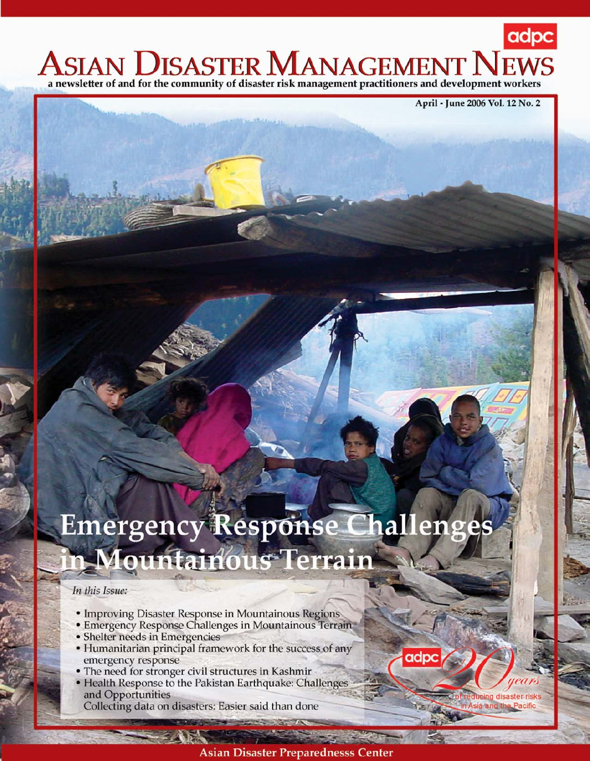# adpc ASIAN DISASTER MANAGEMENT N a newsletter of and for the community of disaster risk management practitioners and development workers

April - June 2006 Vol. 12 No. 2

# Emergency Response Challenges n Mountainous Terrain

## In this Issue:

- Improving Disaster Response in Mountainous Regions
- Emergency Response Challenges in Mountainous Terrain
- Shelter needs in Emergencies
- Humanitarian principal framework for the success of any emergency response
- The need for stronger civil structures in Kashmir
- Health Response to the Pakistan Earthquake: Challenges and Opportunities

Collecting data on disasters: Easier said than done

adı

i<mark>cing</mark> disaster risk

sia and the Pacific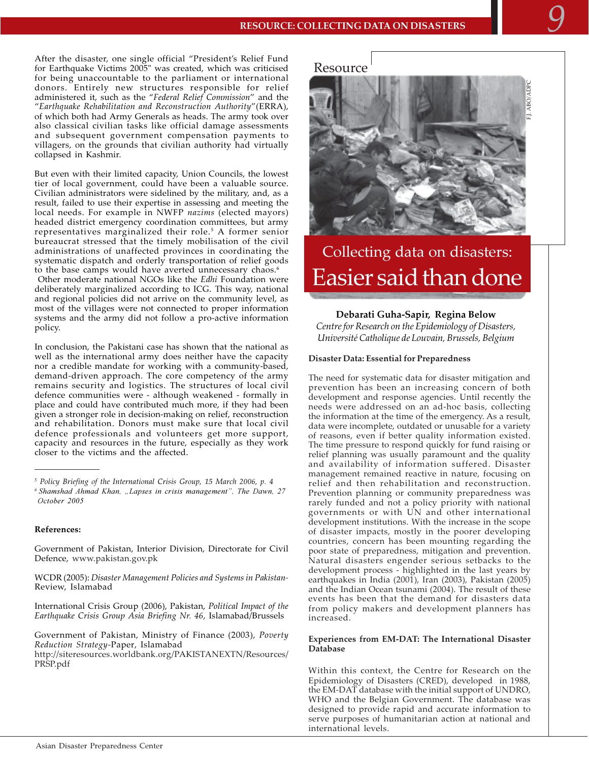After the disaster, one single official "President's Relief Fund for Earthquake Victims 2005" was created, which was criticised for being unaccountable to the parliament or international donors. Entirely new structures responsible for relief administered it, such as the "Federal Relief Commission" and the "Earthquake Rehabilitation and Reconstruction Authority"(ERRA), of which both had Army Generals as heads. The army took over also classical civilian tasks like official damage assessments and subsequent government compensation payments to villagers, on the grounds that civilian authority had virtually collapsed in Kashmir.

But even with their limited capacity, Union Councils, the lowest tier of local government, could have been a valuable source. Civilian administrators were sidelined by the military, and, as a result, failed to use their expertise in assessing and meeting the local needs. For example in NWFP nazims (elected mayors) headed district emergency coordination committees, but army representatives marginalized their role.<sup>5</sup> A former senior bureaucrat stressed that the timely mobilisation of the civil administrations of unaffected provinces in coordinating the systematic dispatch and orderly transportation of relief goods to the base camps would have averted unnecessary chaos.<sup>6</sup>

Other moderate national NGOs like the Edhi Foundation were deliberately marginalized according to ICG. This way, national and regional policies did not arrive on the community level, as most of the villages were not connected to proper information systems and the army did not follow a pro-active information policy.

In conclusion, the Pakistani case has shown that the national as well as the international army does neither have the capacity nor a credible mandate for working with a community-based, demand-driven approach. The core competency of the army remains security and logistics. The structures of local civil defence communities were - although weakened - formally in place and could have contributed much more, if they had been given a stronger role in decision-making on relief, reconstruction and rehabilitation. Donors must make sure that local civil defence professionals and volunteers get more support, capacity and resources in the future, especially as they work closer to the victims and the affected.

#### References:

Government of Pakistan, Interior Division, Directorate for Civil Defence, www.pakistan.gov.pk

WCDR (2005): Disaster Management Policies and Systems in Pakistan-Review, Islamabad

International Crisis Group (2006), Pakistan, Political Impact of the Earthquake Crisis Group Asia Briefing Nr. 46, Islamabad/Brussels

Government of Pakistan, Ministry of Finance (2003), Poverty Reduction Strategy-Paper, Islamabad

http://siteresources.worldbank.org/PAKISTANEXTN/Resources/ PRSP.pdf





# Collecting data on disasters: Easier said than done

### Debarati Guha-Sapir, Regina Below

Centre for Research on the Epidemiology of Disasters, Université Catholique de Louvain, Brussels, Belgium

#### **Disaster Data: Essential for Preparedness**

The need for systematic data for disaster mitigation and prevention has been an increasing concern of both development and response agencies. Until recently the needs were addressed on an ad-hoc basis, collecting the information at the time of the emergency. As a result, data were incomplete, outdated or unusable for a variety of reasons, even if better quality information existed. The time pressure to respond quickly for fund raising or relief planning was usually paramount and the quality and availability of information suffered. Disaster management remained reactive in nature, focusing on relief and then rehabilitation and reconstruction. Prevention planning or community preparedness was rarely funded and not a policy priority with national governments or with UN and other international development institutions. With the increase in the scope of disaster impacts, mostly in the poorer developing countries, concern has been mounting regarding the poor state of preparedness, mitigation and prevention. Natural disasters engender serious setbacks to the development process - highlighted in the last years by earthquakes in India (2001), Iran (2003), Pakistan (2005) and the Indian Ocean tsunami (2004). The result of these events has been that the demand for disasters data from policy makers and development planners has increased.

#### Experiences from EM-DAT: The International Disaster **Database**

Within this context, the Centre for Research on the Epidemiology of Disasters (CRED), developed in 1988, the EM-DAT database with the initial support of UNDRO, WHO and the Belgian Government. The database was designed to provide rapid and accurate information to serve purposes of humanitarian action at national and international levels.

<sup>&</sup>lt;sup>5</sup> Policy Briefing of the International Crisis Group, 15 March 2006, p. 4 <sup>6</sup> Shamshad Ahmad Khan, "Lapses in crisis management", The Dawn, 27 October 2005